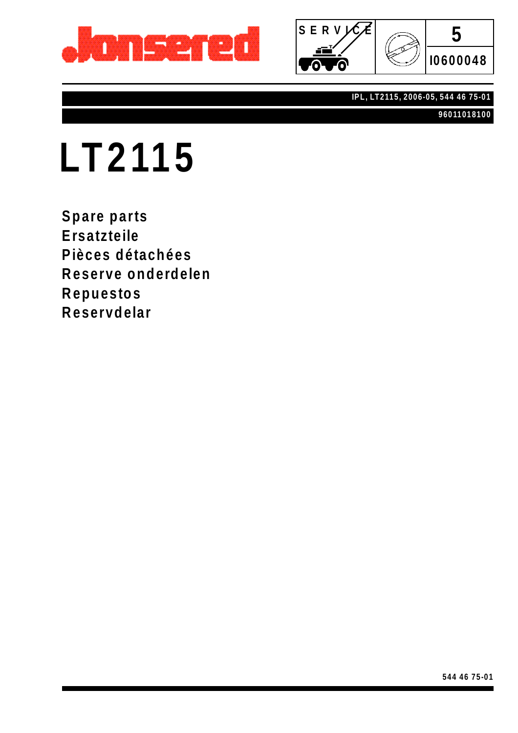



#### **IPL, LT2115, 2006-05, 544 46 75-01**

**96011018100**

# **LT2115**

**Spare parts Ersatzteile Pièces détachées Reserve onderdelen Repuestos Reservdelar**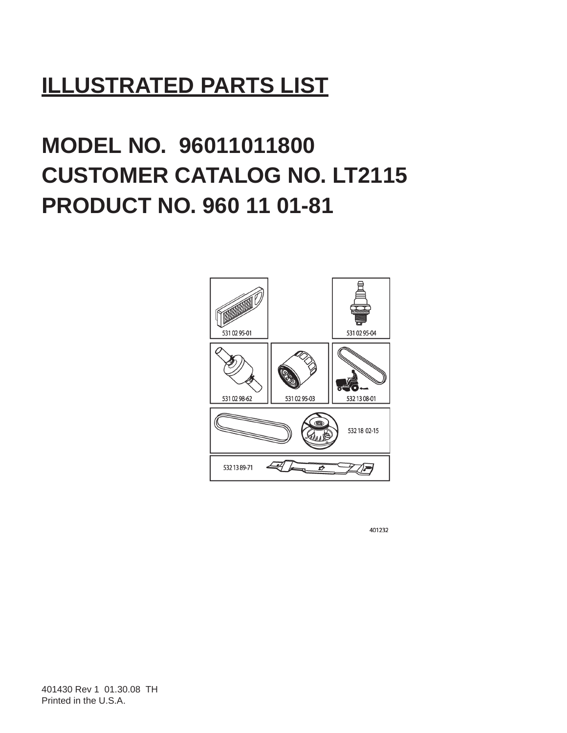## **ILLUSTRATED PARTS LIST**

# **MODEL NO. 96011011800 CUSTOMER CATALOG NO. LT2115 PRODUCT NO. 960 11 01-81**



401232

401430 Rev 1 01.30.08 TH Printed in the U.S.A.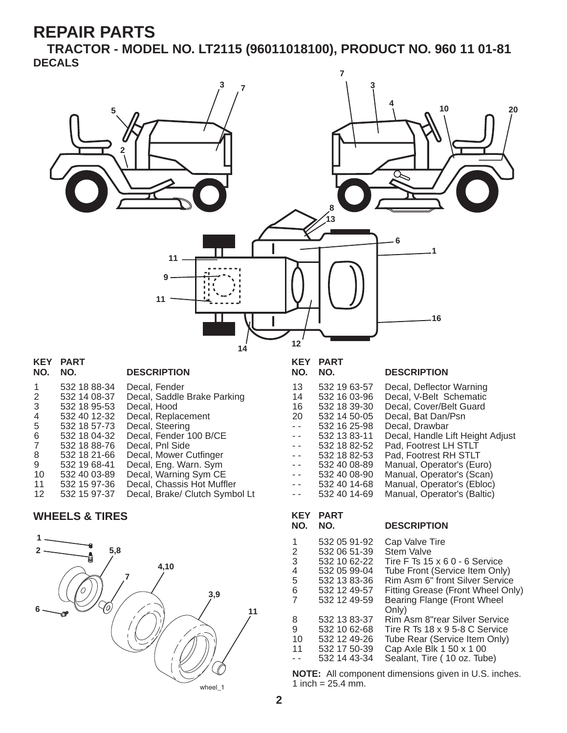**TRACTOR - MODEL NO. LT2115 (96011018100), PRODUCT NO. 960 11 01-81 DECALS**





**2**

1 inch =  $25.4 \, \text{mm}$ .

3 532 10 62-22 Tire F Ts 15 x 6 0 - 6 Service 4 532 05 99-04 Tube Front (Service Item Only)<br>5 532 13 83-36 Rim Asm 6" front Silver Service 5 532 13 83-36 Rim Asm 6" front Silver Service<br>6 532 12 49-57 Fitting Grease (Front Wheel On 6 532 12 49-57 Fitting Grease (Front Wheel Only)

Only) 8 532 13 83-37 Rim Asm 8"rear Silver Service 9 532 10 62-68 Tire R Ts 18 x 9 5-8 C Service<br>10 532 12 49-26 Tube Rear (Service Item Only) 10 532 12 49-26 Tube Rear (Service Item Only)<br>11 532 17 50-39 Cap Axle Blk 1 50 x 1 00 532 17 50-39 Cap Axle Blk 1 50 x 1 00<br>532 14 43-34 Sealant. Tire ( 10 oz. Tub

**NOTE:** All component dimensions given in U.S. inches.

Bearing Flange (Front Wheel

Sealant, Tire ( 10 oz. Tube)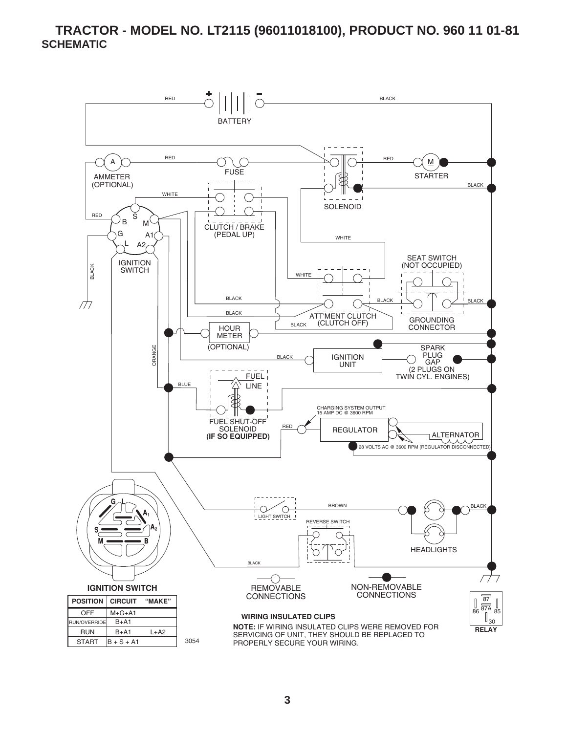**TRACTOR - MODEL NO. LT2115 (96011018100), PRODUCT NO. 960 11 01-81 SCHEMATIC**

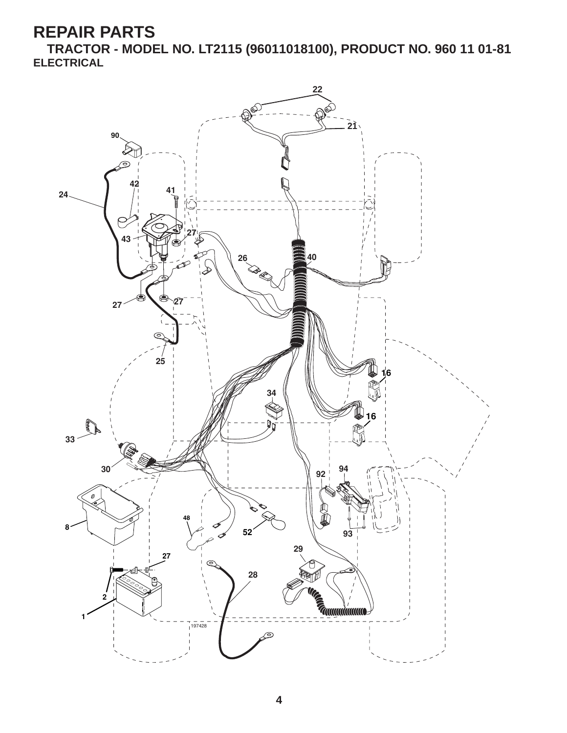**TRACTOR - MODEL NO. LT2115 (96011018100), PRODUCT NO. 960 11 01-81 ELECTRICAL**

![](_page_4_Figure_2.jpeg)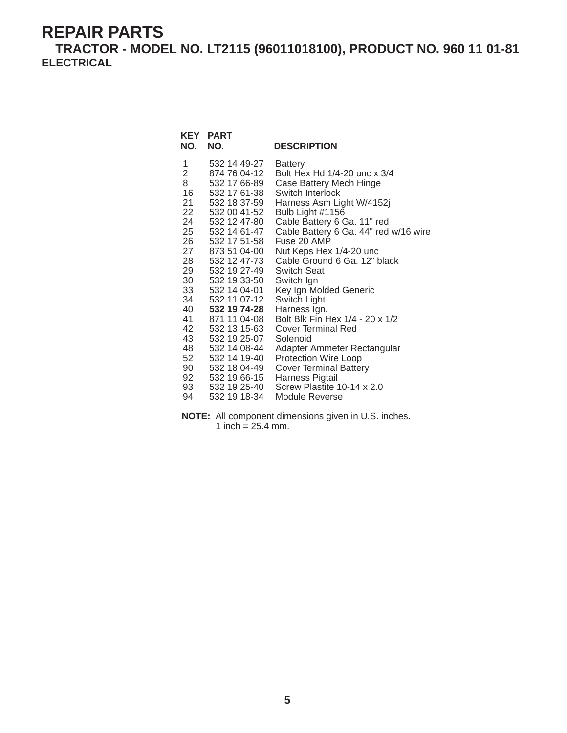**TRACTOR - MODEL NO. LT2115 (96011018100), PRODUCT NO. 960 11 01-81 ELECTRICAL**

| KEY<br>NO.          | <b>PART</b><br>NO.           | <b>DESCRIPTION</b>                             |
|---------------------|------------------------------|------------------------------------------------|
| 1<br>$\overline{2}$ | 532 14 49-27                 | <b>Battery</b><br>Bolt Hex Hd 1/4-20 unc x 3/4 |
| 8                   | 874 76 04-12<br>532 17 66-89 |                                                |
| 16                  | 532 17 61-38                 | Case Battery Mech Hinge<br>Switch Interlock    |
| 21                  | 532 18 37-59                 | Harness Asm Light W/4152j                      |
| 22                  | 532 00 41-52                 | Bulb Light #1156                               |
| 24                  | 532 12 47-80                 | Cable Battery 6 Ga. 11" red                    |
| 25 —                | 532 14 61-47                 | Cable Battery 6 Ga. 44" red w/16 wire          |
| 26                  | 532 17 51-58                 | Fuse 20 AMP                                    |
| 27                  | 873 51 04-00                 | Nut Keps Hex 1/4-20 unc                        |
| 28 —                | 532 12 47-73                 | Cable Ground 6 Ga. 12" black                   |
| 29                  | 532 19 27-49                 | Switch Seat                                    |
| 30                  | 532 19 33-50                 | Switch Ign                                     |
| 33                  | 532 14 04-01                 | Key Ign Molded Generic                         |
| 34                  | 532 11 07-12                 | Switch Light                                   |
| 40                  | 532 19 74-28                 | Harness Ign.                                   |
| 41                  | 871 11 04-08                 | Bolt Blk Fin Hex 1/4 - 20 x 1/2                |
| 42                  | 532 13 15-63                 | <b>Cover Terminal Red</b>                      |
| 43                  | 532 19 25-07                 | Solenoid                                       |
| 48                  | 532 14 08-44                 | Adapter Ammeter Rectangular                    |
| 52                  | 532 14 19-40                 | Protection Wire Loop                           |
| 90                  | 532 18 04-49                 | <b>Cover Terminal Battery</b>                  |
| 92                  | 532 19 66-15                 | Harness Pigtail<br>Screw Plastite 10-14 x 2.0  |
| 93<br>94            | 532 19 25-40                 |                                                |
|                     | 532 19 18-34                 | Module Reverse                                 |

**NOTE:** All component dimensions given in U.S. inches. 1 inch =  $25.4$  mm.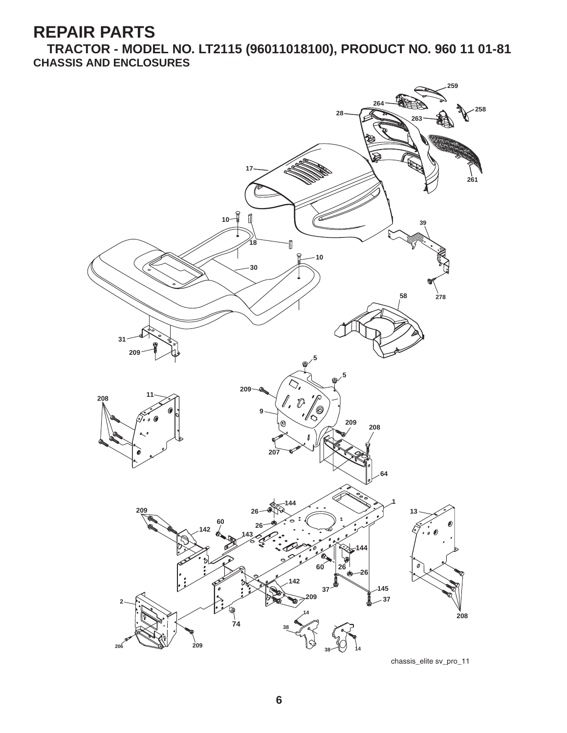**TRACTOR - MODEL NO. LT2115 (96011018100), PRODUCT NO. 960 11 01-81 CHASSIS AND ENCLOSURES**

![](_page_6_Figure_2.jpeg)

chassis\_elite sv\_pro\_11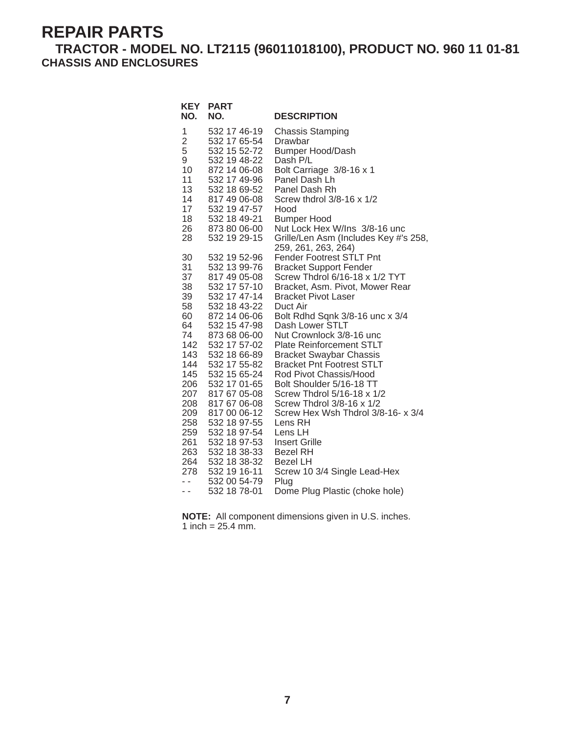#### **TRACTOR - MODEL NO. LT2115 (96011018100), PRODUCT NO. 960 11 01-81 CHASSIS AND ENCLOSURES**

| <b>KEY</b><br>NO.    | <b>PART</b><br>NO.           | <b>DESCRIPTION</b>                                          |
|----------------------|------------------------------|-------------------------------------------------------------|
| 1                    | 532 17 46-19                 | <b>Chassis Stamping</b>                                     |
| $\overline{c}$       | 532 17 65-54                 | Drawbar                                                     |
| 5                    | 532 15 52-72                 | <b>Bumper Hood/Dash</b>                                     |
| 9                    | 532 19 48-22                 | Dash P/L                                                    |
| 10                   | 872 14 06-08                 | Bolt Carriage 3/8-16 x 1                                    |
| 11                   | 532 17 49-96                 | Panel Dash Lh                                               |
| 13                   | 532 18 69-52                 | Panel Dash Rh                                               |
| 14                   | 817 49 06-08                 | Screw thdrol $3/8-16 \times 1/2$                            |
| 17<br>18             | 532 19 47-57<br>532 18 49-21 | Hood                                                        |
| 26                   | 873 80 06-00                 | <b>Bumper Hood</b><br>Nut Lock Hex W/Ins 3/8-16 unc         |
| 28                   | 532 19 29-15                 | Grille/Len Asm (Includes Key #'s 258,                       |
|                      |                              | 259, 261, 263, 264)                                         |
| 30                   | 532 19 52-96                 | <b>Fender Footrest STLT Pnt</b>                             |
| 31                   | 532 13 99-76                 | <b>Bracket Support Fender</b>                               |
| 37                   | 817 49 05-08                 | Screw Thdrol 6/16-18 x 1/2 TYT                              |
| 38                   | 532 17 57-10                 | Bracket, Asm. Pivot, Mower Rear                             |
| 39                   | 532 17 47-14                 | <b>Bracket Pivot Laser</b>                                  |
| 58                   | 532 18 43-22                 | Duct Air                                                    |
| 60                   | 872 14 06-06                 | Bolt Rdhd Sqnk 3/8-16 unc x 3/4                             |
| 64                   | 532 15 47-98                 | Dash Lower STLT                                             |
| 74<br>142            | 873 68 06-00<br>532 17 57-02 | Nut Crownlock 3/8-16 unc<br><b>Plate Reinforcement STLT</b> |
| 143                  | 532 18 66-89                 | <b>Bracket Swaybar Chassis</b>                              |
| 144                  | 532 17 55-82                 | <b>Bracket Pnt Footrest STLT</b>                            |
| 145                  | 532 15 65-24                 | Rod Pivot Chassis/Hood                                      |
| 206                  | 532 17 01-65                 | Bolt Shoulder 5/16-18 TT                                    |
| 207                  | 817 67 05-08                 | Screw Thdrol 5/16-18 x 1/2                                  |
| 208                  | 817 67 06-08                 | Screw Thdrol 3/8-16 x 1/2                                   |
| 209                  | 817 00 06-12                 | Screw Hex Wsh Thdrol 3/8-16- x 3/4                          |
| 258                  | 532 18 97-55                 | Lens RH                                                     |
| 259                  | 532 18 97-54                 | Lens LH                                                     |
| 261                  | 532 18 97-53                 | <b>Insert Grille</b>                                        |
| 263                  | 532 18 38-33                 | <b>Bezel RH</b>                                             |
| 264                  | 532 18 38-32                 | <b>Bezel LH</b>                                             |
| 278<br>$\sim$ $\sim$ | 532 19 16-11<br>532 00 54-79 | Screw 10 3/4 Single Lead-Hex                                |
| - -                  | 532 18 78-01                 | Plug<br>Dome Plug Plastic (choke hole)                      |
|                      |                              |                                                             |

**NOTE:** All component dimensions given in U.S. inches. 1 inch =  $25.4 \, \text{mm}$ .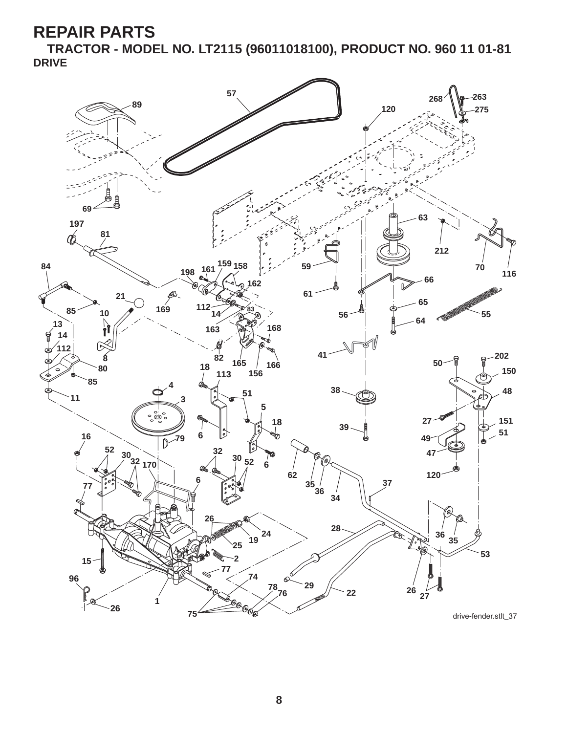**TRACTOR - MODEL NO. LT2115 (96011018100), PRODUCT NO. 960 11 01-81 DRIVE**

![](_page_8_Figure_2.jpeg)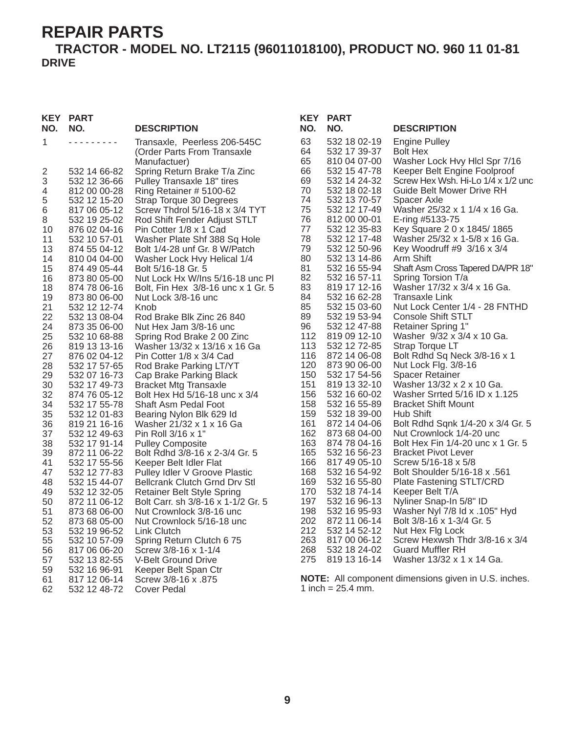#### **TRACTOR - MODEL NO. LT2115 (96011018100), PRODUCT NO. 960 11 01-81 DRIVE**

#### **KEY PART**

| NO.                     | NO.                          | <b>DESCRIPTION</b>                                                          |
|-------------------------|------------------------------|-----------------------------------------------------------------------------|
| 1                       |                              | Transaxle, Peerless 206-545C<br>(Order Parts From Transaxle<br>Manufactuer) |
| $\overline{\mathbf{c}}$ | 532 14 66-82                 | Spring Return Brake T/a Zinc                                                |
| 3                       | 532 12 36-66                 | Pulley Transaxle 18" tires                                                  |
| 4                       | 812 00 00-28                 | Ring Retainer # 5100-62                                                     |
| 5<br>6                  | 532 12 15-20<br>817 06 05-12 | Strap Torque 30 Degrees<br>Screw Thdrol 5/16-18 x 3/4 TYT                   |
| 8                       | 532 19 25-02                 | Rod Shift Fender Adjust STLT                                                |
| 10                      | 876 02 04-16                 | Pin Cotter 1/8 x 1 Cad                                                      |
| 11                      | 532 10 57-01                 | Washer Plate Shf 388 Sq Hole                                                |
| 13                      | 874 55 04-12                 | Bolt 1/4-28 unf Gr. 8 W/Patch                                               |
| 14                      | 810 04 04-00                 | Washer Lock Hvy Helical 1/4                                                 |
| 15                      | 874 49 05-44                 | Bolt 5/16-18 Gr. 5                                                          |
| 16                      | 873 80 05-00                 | Nut Lock Hx W/Ins 5/16-18 unc PI                                            |
| 18                      | 874 78 06-16                 | Bolt, Fin Hex 3/8-16 unc x 1 Gr. 5                                          |
| 19<br>21                | 873 80 06-00<br>532 12 12-74 | Nut Lock 3/8-16 unc<br>Knob                                                 |
| 22                      | 532 13 08-04                 | Rod Brake Blk Zinc 26 840                                                   |
| 24                      | 873 35 06-00                 | Nut Hex Jam 3/8-16 unc                                                      |
| 25                      | 532 10 68-88                 | Spring Rod Brake 2 00 Zinc                                                  |
| 26                      | 819 13 13-16                 | Washer 13/32 x 13/16 x 16 Ga                                                |
| 27                      | 876 02 04-12                 | Pin Cotter 1/8 x 3/4 Cad                                                    |
| 28                      | 532 17 57-65                 | Rod Brake Parking LT/YT                                                     |
| 29                      | 532 07 16-73                 | Cap Brake Parking Black                                                     |
| 30<br>32                | 532 17 49-73<br>874 76 05-12 | <b>Bracket Mtg Transaxle</b><br>Bolt Hex Hd 5/16-18 unc x 3/4               |
| 34                      | 532 17 55-78                 | Shaft Asm Pedal Foot                                                        |
| 35                      | 532 12 01-83                 | Bearing Nylon Blk 629 Id                                                    |
| 36                      | 819 21 16-16                 | Washer 21/32 x 1 x 16 Ga                                                    |
| 37                      | 532 12 49-63                 | Pin Roll 3/16 x 1"                                                          |
| 38                      | 532 17 91-14                 | <b>Pulley Composite</b>                                                     |
| 39                      | 872 11 06-22                 | Bolt Rdhd 3/8-16 x 2-3/4 Gr. 5                                              |
| 41<br>47                | 532 17 55-56<br>532 12 77-83 | Keeper Belt Idler Flat<br>Pulley Idler V Groove Plastic                     |
| 48                      | 532 15 44-07                 | <b>Bellcrank Clutch Grnd Drv Stl</b>                                        |
| 49                      | 532 12 32-05                 | <b>Retainer Belt Style Spring</b>                                           |
| 50                      | 872 11 06-12                 | Bolt Carr. sh 3/8-16 x 1-1/2 Gr. 5                                          |
| 51                      | 873 68 06-00                 | Nut Crownlock 3/8-16 unc                                                    |
| 52                      | 873 68 05-00                 | Nut Crownlock 5/16-18 unc                                                   |
| 53                      | 532 19 96-52                 | Link Clutch                                                                 |
| 55                      | 532 10 57-09                 | Spring Return Clutch 675                                                    |
| 56                      | 817 06 06-20<br>532 13 82-55 | Screw 3/8-16 x 1-1/4                                                        |
| 57<br>59                | 532 16 96-91                 | V-Belt Ground Drive<br>Keeper Belt Span Ctr                                 |
| 61                      | 817 12 06-14                 | 875. Screw 3/8-16 x                                                         |
| 62                      | 532 12 48-72                 | Cover Pedal                                                                 |
|                         |                              |                                                                             |

| <b>KEY</b> | <b>PART</b>                  |                                                                 |
|------------|------------------------------|-----------------------------------------------------------------|
| NO.        | NO.                          | <b>DESCRIPTION</b>                                              |
| 63         | 532 18 02-19                 | <b>Engine Pulley</b>                                            |
| 64         | 532 17 39-37                 | <b>Bolt Hex</b>                                                 |
| 65<br>66   | 810 04 07-00<br>532 15 47-78 | Washer Lock Hvy Hlcl Spr 7/16<br>Keeper Belt Engine Foolproof   |
| 69         | 532 14 24-32                 | Screw Hex Wsh. Hi-Lo 1/4 x 1/2 unc                              |
| 70         | 532 18 02-18                 | <b>Guide Belt Mower Drive RH</b>                                |
| 74         | 532 13 70-57                 | Spacer Axle                                                     |
| 75<br>76   | 532 12 17-49<br>812 00 00-01 | Washer 25/32 x 1 1/4 x 16 Ga.<br>E-ring #5133-75                |
| 77         | 532 12 35-83                 | Key Square 2 0 x 1845/1865                                      |
| 78         | 532 12 17-48                 | Washer 25/32 x 1-5/8 x 16 Ga.                                   |
| 79         | 532 12 50-96                 | Key Woodruff #9 3/16 x 3/4                                      |
| 80<br>81   | 532 13 14-86<br>532 16 55-94 | Arm Shift<br>Shaft Asm Cross Tapered DA/PR 18"                  |
| 82         | 532 16 57-11                 | Spring Torsion T/a                                              |
| 83         | 819 17 12-16                 | Washer 17/32 x 3/4 x 16 Ga.                                     |
| 84<br>85   | 532 16 62-28<br>532 15 03-60 | <b>Transaxle Link</b><br>Nut Lock Center 1/4 - 28 FNTHD         |
| 89         | 532 19 53-94                 | <b>Console Shift STLT</b>                                       |
| 96         | 532 12 47-88                 | <b>Retainer Spring 1"</b>                                       |
| 112        | 819 09 12-10                 | Washer 9/32 x 3/4 x 10 Ga.                                      |
| 113<br>116 | 532 12 72-85<br>872 14 06-08 | Strap Torque LT<br>Bolt Rdhd Sq Neck 3/8-16 x 1                 |
| 120        | 873 90 06-00                 | Nut Lock Flg. 3/8-16                                            |
| 150        | 532 17 54-56                 | <b>Spacer Retainer</b>                                          |
| 151        | 819 13 32-10                 | Washer 13/32 x 2 x 10 Ga.                                       |
| 156<br>158 | 532 16 60-02<br>532 16 55-89 | Washer Srrted 5/16 ID x 1.125<br><b>Bracket Shift Mount</b>     |
| 159        | 532 18 39-00                 | Hub Shift                                                       |
| 161        | 872 14 04-06                 | Bolt Rdhd Sqnk 1/4-20 x 3/4 Gr. 5                               |
| 162        | 873 68 04-00                 | Nut Crownlock 1/4-20 unc                                        |
| 163<br>165 | 874 78 04-16<br>532 16 56-23 | Bolt Hex Fin 1/4-20 unc x 1 Gr. 5<br><b>Bracket Pivot Lever</b> |
| 166        | 817 49 05-10                 | Screw 5/16-18 x 5/8                                             |
| 168        | 532 16 54-92                 | <b>Bolt Shoulder 5/16-18 x .561</b>                             |
| 169        | 532 16 55-80                 | <b>Plate Fastening STLT/CRD</b>                                 |
| 170<br>197 | 532 18 74-14<br>532 16 96-13 | Keeper Belt T/A<br>Nyliner Snap-In 5/8" ID                      |
| 198        | 532 16 95-93                 | Washer Nyl 7/8 ld x .105" Hyd                                   |
| 202        | 872 11 06-14                 | Bolt 3/8-16 x 1-3/4 Gr. 5                                       |
| 212        | 532 14 52-12                 | Nut Hex Flg Lock                                                |
| 263<br>268 | 817 00 06-12<br>532 18 24-02 | Screw Hexwsh Thdr 3/8-16 x 3/4<br><b>Guard Muffler RH</b>       |
| 275        | 819 13 16-14                 | Washer 13/32 x 1 x 14 Ga.                                       |

**NOTE:** All component dimensions given in U.S. inches. 1 inch =  $25.4$  mm.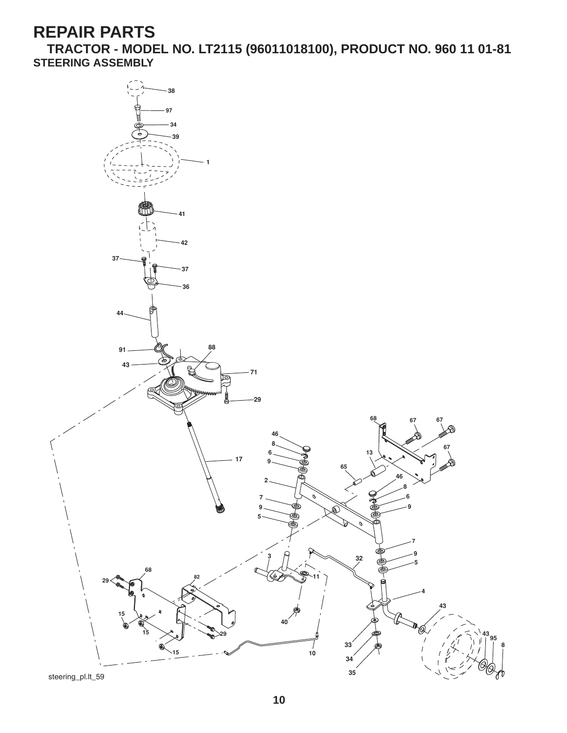**TRACTOR - MODEL NO. LT2115 (96011018100), PRODUCT NO. 960 11 01-81 STEERING ASSEMBLY**

![](_page_10_Figure_2.jpeg)

steering\_pl.lt\_59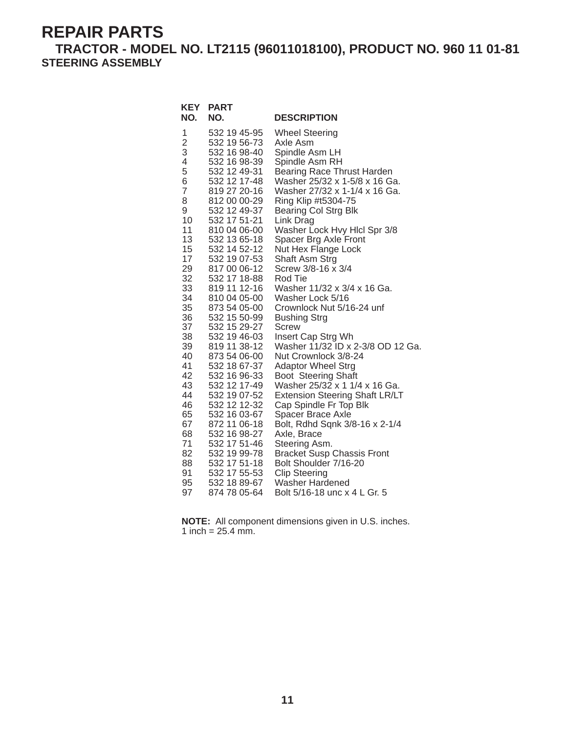**TRACTOR - MODEL NO. LT2115 (96011018100), PRODUCT NO. 960 11 01-81 STEERING ASSEMBLY**

| NO.                                                                                                                                                                                                                                         | <b>KEY PART</b><br>NO.                                                                                                                                                                                                                                                                                                                                                                                                                                                                                                                                                                                                       | <b>DESCRIPTION</b>                                                                                                                                                                                                                                                                                                                                                                                                                                                                                                                                                                                                                                                                                                                                                                                                                                                                                                                                                            |
|---------------------------------------------------------------------------------------------------------------------------------------------------------------------------------------------------------------------------------------------|------------------------------------------------------------------------------------------------------------------------------------------------------------------------------------------------------------------------------------------------------------------------------------------------------------------------------------------------------------------------------------------------------------------------------------------------------------------------------------------------------------------------------------------------------------------------------------------------------------------------------|-------------------------------------------------------------------------------------------------------------------------------------------------------------------------------------------------------------------------------------------------------------------------------------------------------------------------------------------------------------------------------------------------------------------------------------------------------------------------------------------------------------------------------------------------------------------------------------------------------------------------------------------------------------------------------------------------------------------------------------------------------------------------------------------------------------------------------------------------------------------------------------------------------------------------------------------------------------------------------|
| 1<br>$\frac{2}{3}$<br>4<br>5<br>6<br>$\overline{7}$<br>8<br>9<br>10<br>11<br>13<br>15<br>17<br>29<br>32<br>33<br>34<br>35<br>36<br>37<br>38<br>39<br>40<br>41<br>42<br>43<br>44<br>46<br>65<br>67<br>68<br>71<br>82<br>88<br>91<br>95<br>97 | 532 19 45-95<br>532 19 56-73<br>532 16 98-40<br>532 16 98-39<br>532 12 49-31<br>532 12 17-48<br>819 27 20-16<br>812 00 00-29<br>532 12 49-37<br>532 17 51-21<br>810 04 06-00<br>532 13 65-18<br>532 14 52-12<br>532 19 07-53<br>817 00 06-12<br>532 17 18-88<br>819 11 12-16<br>810 04 05-00<br>873 54 05-00<br>532 15 50-99<br>532 15 29-27<br>532 19 46-03<br>819 11 38-12<br>873 54 06-00<br>532 18 67-37<br>532 16 96-33<br>532 12 17-49<br>532 19 07-52<br>532 12 12-32<br>532 16 03-67<br>872 11 06-18<br>532 16 98-27<br>532 17 51-46<br>532 19 99-78<br>532 17 51-18<br>532 17 55-53<br>532 18 89-67<br>874 78 05-64 | <b>Wheel Steering</b><br>Axle Asm<br>Spindle Asm LH<br>Spindle Asm RH<br>Bearing Race Thrust Harden<br>Washer 25/32 x 1-5/8 x 16 Ga.<br>Washer 27/32 x 1-1/4 x 16 Ga.<br>Ring Klip #t5304-75<br><b>Bearing Col Strg Blk</b><br>Link Drag<br>Washer Lock Hvy Hlcl Spr 3/8<br>Spacer Brg Axle Front<br>Nut Hex Flange Lock<br>Shaft Asm Strg<br>Screw 3/8-16 x 3/4<br>Rod Tie<br>Washer 11/32 x 3/4 x 16 Ga.<br>Washer Lock 5/16<br>Crownlock Nut 5/16-24 unf<br><b>Bushing Strg</b><br><b>Screw</b><br>Insert Cap Strg Wh<br>Washer 11/32 ID x 2-3/8 OD 12 Ga.<br>Nut Crownlock 3/8-24<br><b>Adaptor Wheel Strg</b><br>Boot Steering Shaft<br>Washer 25/32 x 1 1/4 x 16 Ga.<br><b>Extension Steering Shaft LR/LT</b><br>Cap Spindle Fr Top Blk<br>Spacer Brace Axle<br>Bolt, Rdhd Sqnk 3/8-16 x 2-1/4<br>Axle, Brace<br>Steering Asm.<br><b>Bracket Susp Chassis Front</b><br>Bolt Shoulder 7/16-20<br><b>Clip Steering</b><br>Washer Hardened<br>Bolt 5/16-18 unc x 4 L Gr. 5 |
|                                                                                                                                                                                                                                             |                                                                                                                                                                                                                                                                                                                                                                                                                                                                                                                                                                                                                              |                                                                                                                                                                                                                                                                                                                                                                                                                                                                                                                                                                                                                                                                                                                                                                                                                                                                                                                                                                               |

**NOTE:** All component dimensions given in U.S. inches. 1 inch =  $25.4 \, \text{mm}$ .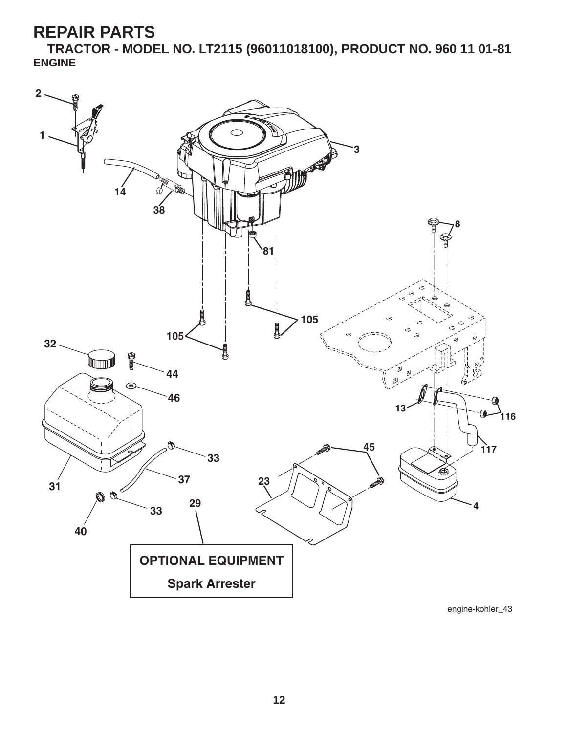**TRACTOR - MODEL NO. LT2115 (96011018100), PRODUCT NO. 960 11 01-81 ENGINE**

![](_page_12_Figure_2.jpeg)

engine-kohler\_43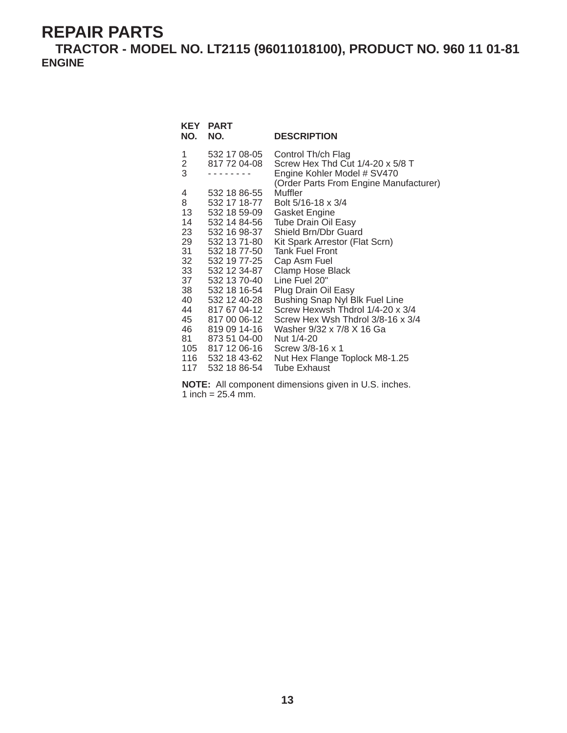**TRACTOR - MODEL NO. LT2115 (96011018100), PRODUCT NO. 960 11 01-81 ENGINE**

| <b>KEY</b><br>NO. | <b>PART</b><br>NO.           | <b>DESCRIPTION</b>                                                    |
|-------------------|------------------------------|-----------------------------------------------------------------------|
| 1                 | 532 17 08-05                 | Control Th/ch Flag                                                    |
| $\frac{2}{3}$     | 817 72 04-08                 | Screw Hex Thd Cut 1/4-20 x 5/8 T                                      |
|                   |                              | Engine Kohler Model # SV470<br>(Order Parts From Engine Manufacturer) |
| 4                 | 532 18 86-55                 | Muffler                                                               |
| 8                 | 532 17 18-77                 | Bolt 5/16-18 x 3/4                                                    |
| 13                | 532 18 59-09                 | Gasket Engine                                                         |
| 14                | 532 14 84-56                 | <b>Tube Drain Oil Easy</b>                                            |
| 23                | 532 16 98-37                 | Shield Brn/Dbr Guard                                                  |
| 29                | 532 13 71-80                 | Kit Spark Arrestor (Flat Scrn)                                        |
| 31                | 532 18 77-50                 | <b>Tank Fuel Front</b>                                                |
| 32                | 532 19 77-25                 | Cap Asm Fuel                                                          |
| 33                | 532 12 34-87                 | <b>Clamp Hose Black</b>                                               |
| 37                | 532 13 70-40                 | Line Fuel 20"                                                         |
| 38                | 532 18 16-54                 | Plug Drain Oil Easy                                                   |
| 40                | 532 12 40-28                 | Bushing Snap Nyl Blk Fuel Line                                        |
| 44<br>45          | 817 67 04-12<br>817 00 06-12 | Screw Hexwsh Thdrol 1/4-20 x 3/4<br>Screw Hex Wsh Thdrol 3/8-16 x 3/4 |
| 46                | 819 09 14-16                 | Washer 9/32 x 7/8 X 16 Ga                                             |
| 81 —              | 873 51 04-00                 | Nut 1/4-20                                                            |
|                   | 105 817 12 06-16             | Screw 3/8-16 x 1                                                      |
|                   | 116 532 18 43-62             | Nut Hex Flange Toplock M8-1.25                                        |
| 117               | 532 18 86-54                 | <b>Tube Exhaust</b>                                                   |
|                   |                              |                                                                       |

**NOTE:** All component dimensions given in U.S. inches. 1 inch =  $25.4 \, \text{mm}$ .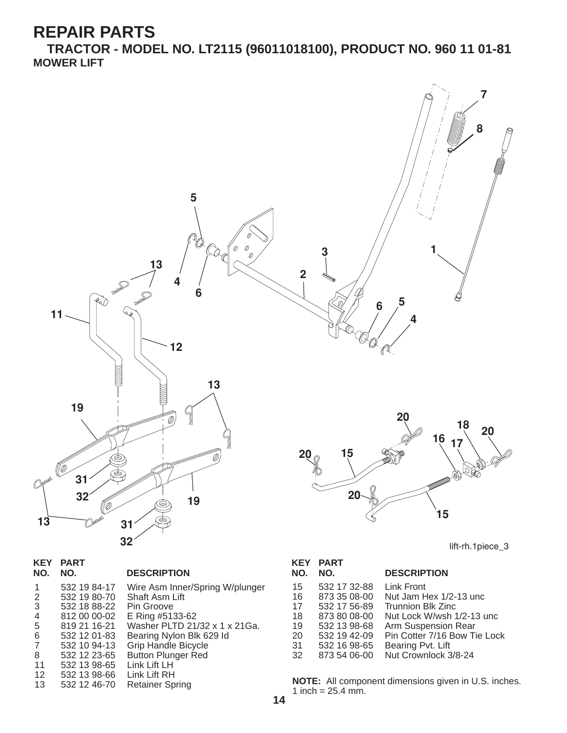**TRACTOR - MODEL NO. LT2115 (96011018100), PRODUCT NO. 960 11 01-81 MOWER LIFT**

![](_page_14_Figure_2.jpeg)

| <b>KEY</b><br>NO. | <b>PART</b><br>NO. | <b>DESCRIPTION</b>              |
|-------------------|--------------------|---------------------------------|
| 1                 | 532 19 84-17       | Wire Asm Inner/Spring W/plunger |
| 2                 | 532 19 80-70       | Shaft Asm Lift                  |
| 3                 | 532 18 88-22       | Pin Groove                      |
| $\overline{4}$    | 812 00 00-02       | E Ring #5133-62                 |
| -5                | 819 21 16-21       | Washer PLTD 21/32 x 1 x 21Ga.   |
| 6                 | 532 12 01-83       | Bearing Nylon Blk 629 Id        |
| 7                 | 532 10 94-13       | <b>Grip Handle Bicycle</b>      |
| 8                 | 532 12 23-65       | <b>Button Plunger Red</b>       |
| 11                | 532 13 98-65       | Link Lift LH                    |
| 12                | 532 13 98-66       | Link Lift RH                    |
| 13                | 532 12 46-70       | <b>Retainer Spring</b>          |
|                   |                    |                                 |

| KEY | <b>PART</b>  |                              |
|-----|--------------|------------------------------|
| NO. | NO.          | <b>DESCRIPTION</b>           |
| 15  | 532 17 32-88 | <b>Link Front</b>            |
| 16  | 873 35 08-00 | Nut Jam Hex 1/2-13 unc       |
| 17  | 532 17 56-89 | <b>Trunnion Blk Zinc</b>     |
| 18  | 873 80 08-00 | Nut Lock W/wsh 1/2-13 unc    |
| 19  | 532 13 98-68 | Arm Suspension Rear          |
| 20  | 532 19 42-09 | Pin Cotter 7/16 Bow Tie Lock |
| 31  | 532 16 98-65 | Bearing Pvt. Lift            |
| 32  | 873 54 06-00 | Nut Crownlock 3/8-24         |
|     |              |                              |

**NOTE:** All component dimensions given in U.S. inches. 1 inch =  $25.4$  mm.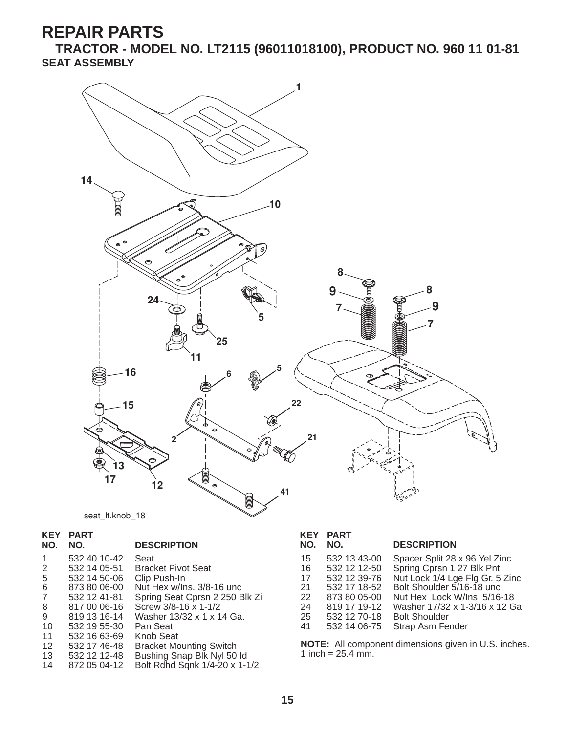**TRACTOR - MODEL NO. LT2115 (96011018100), PRODUCT NO. 960 11 01-81 SEAT ASSEMBLY**

![](_page_15_Figure_2.jpeg)

seat\_lt.knob\_18

## **KEY PART**

#### **NO. NO. DESCRIPTION**

| 1  | 532 40 10-42   | Seat                           |
|----|----------------|--------------------------------|
|    |                |                                |
| 2  | 532 14 05-51   | <b>Bracket Pivot Seat</b>      |
| 5  | 532 14 50-06   | Clip Push-In                   |
| 6  | 873 80 06-00   | Nut Hex w/Ins. 3/8-16 unc      |
| 7  | 532 12 41-81   | Spring Seat Cprsn 2 250 Blk Zi |
| 8  | 817 00 06-16   | Screw 3/8-16 x 1-1/2           |
| 9  | 819 13 16-14   | Washer 13/32 x 1 x 14 Ga.      |
| 10 | 532 19 55-30   | Pan Seat                       |
| 11 | 532 16 63-69   | Knob Seat                      |
| 12 | 532 17 46-48   | <b>Bracket Mounting Switch</b> |
| 13 | 532 12 12 - 48 | Bushing Snap Blk Nyl 50 ld     |
| 14 | 872 05 04-12   | Bolt Rdhd Sqnk 1/4-20 x 1-1/2  |

| KEY<br>NO.                             | <b>PART</b><br>NO.                                                                                           | <b>DESCRIPTION</b>                                                                                                                                                                                                 |
|----------------------------------------|--------------------------------------------------------------------------------------------------------------|--------------------------------------------------------------------------------------------------------------------------------------------------------------------------------------------------------------------|
| 15<br>16<br>17<br>21<br>22<br>24<br>25 | 532 13 43-00<br>532 12 12-50<br>532 12 39-76<br>532 17 18-52<br>873 80 05-00<br>819 17 19-12<br>532 12 70-18 | Spacer Split 28 x 96 Yel Zinc<br>Spring Cprsn 1 27 Blk Pnt<br>Nut Lock 1/4 Lge Flg Gr. 5 Zinc<br>Bolt Shoulder 5/16-18 unc<br>Nut Hex Lock W/Ins 5/16-18<br>Washer 17/32 x 1-3/16 x 12 Ga.<br><b>Bolt Shoulder</b> |
| 41                                     | 532 14 06-75                                                                                                 | Strap Asm Fender                                                                                                                                                                                                   |

**NOTE:** All component dimensions given in U.S. inches. 1 inch =  $25.4 \text{ min.}$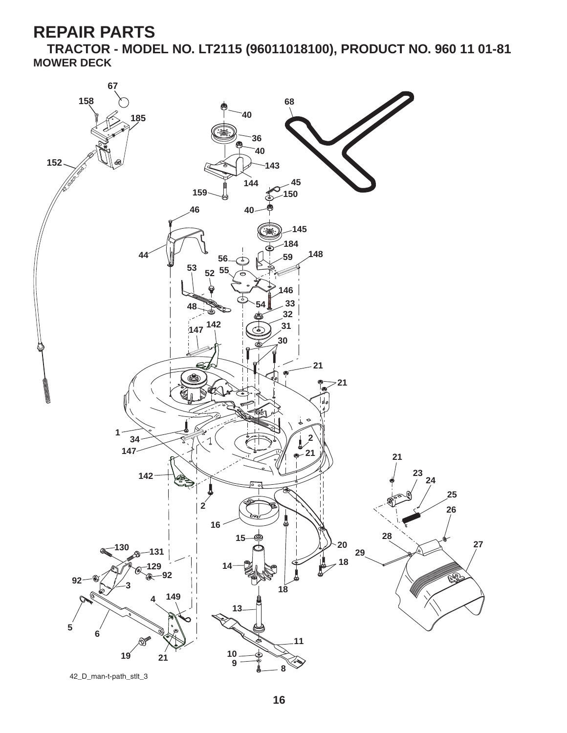**TRACTOR - MODEL NO. LT2115 (96011018100), PRODUCT NO. 960 11 01-81 MOWER DECK**

![](_page_16_Picture_2.jpeg)